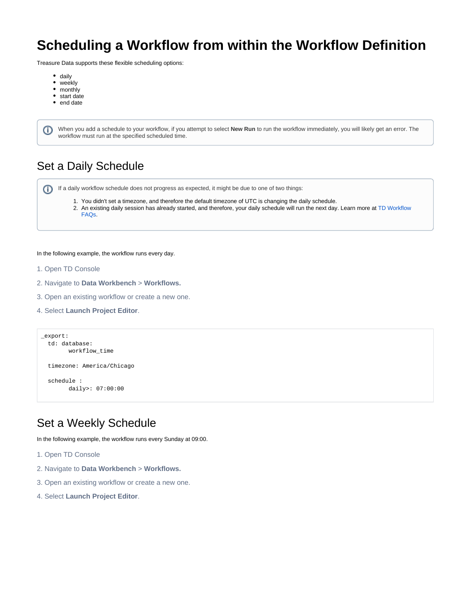# **Scheduling a Workflow from within the Workflow Definition**

Treasure Data supports these flexible scheduling options:

- daily
- weekly

O

- monthly
- start date
- end date

When you add a schedule to your workflow, if you attempt to select **New Run** to run the workflow immediately, you will likely get an error. The workflow must run at the specified scheduled time.

### Set a Daily Schedule

⋒ If a daily workflow schedule does not progress as expected, it might be due to one of two things:

- 1. You didn't set a timezone, and therefore the default timezone of UTC is changing the daily schedule.
- 2. An existing daily session has already started, and therefore, your daily schedule will run the next day. Learn more at TD Workflow [FAQs.](https://docs.treasuredata.com/display/PD/TD+Workflow+FAQs)

#### In the following example, the workflow runs every day.

- 1. Open TD Console
- 2. Navigate to **Data Workbench** > **Workflows.**
- 3. Open an existing workflow or create a new one.
- 4. Select **Launch Project Editor**.

```
_export:
  td: database:
         workflow_time
  timezone: America/Chicago
  schedule :
         daily>: 07:00:00
```
#### Set a Weekly Schedule

In the following example, the workflow runs every Sunday at 09:00.

- 1. Open TD Console
- 2. Navigate to **Data Workbench** > **Workflows.**
- 3. Open an existing workflow or create a new one.
- 4. Select **Launch Project Editor**.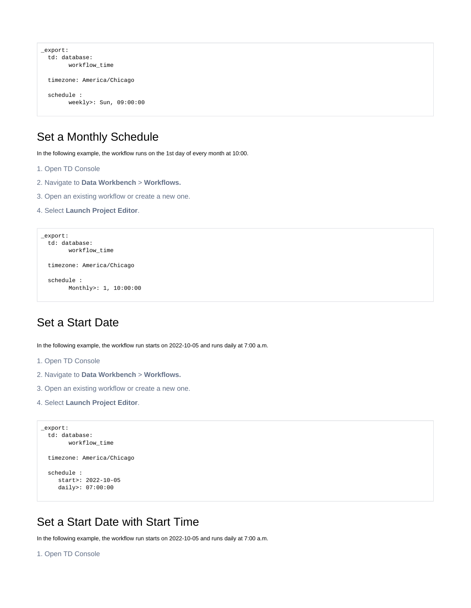```
_export:
  td: database:
         workflow_time
  timezone: America/Chicago
  schedule :
        weekly>: Sun, 09:00:00
```
## Set a Monthly Schedule

In the following example, the workflow runs on the 1st day of every month at 10:00.

- 1. Open TD Console
- 2. Navigate to **Data Workbench** > **Workflows.**
- 3. Open an existing workflow or create a new one.
- 4. Select **Launch Project Editor**.

```
_export:
  td: database:
        workflow_time
  timezone: America/Chicago
  schedule :
        Monthly>: 1, 10:00:00
```
#### Set a Start Date

In the following example, the workflow run starts on 2022-10-05 and runs daily at 7:00 a.m.

- 1. Open TD Console
- 2. Navigate to **Data Workbench** > **Workflows.**
- 3. Open an existing workflow or create a new one.
- 4. Select **Launch Project Editor**.

```
_export:
  td: database:
       workflow_time
  timezone: America/Chicago
  schedule :
     start>: 2022-10-05
     daily>: 07:00:00
```
## Set a Start Date with Start Time

In the following example, the workflow run starts on 2022-10-05 and runs daily at 7:00 a.m.

```
1. Open TD Console
```